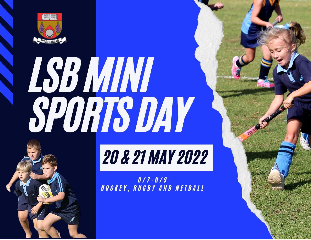

# **ESB MINI<br>SPORTS DAY**

# **20 & 21 MAY 2022**

 $U / 7 - U / 9$ HOCKEY, RUGBY AND NETBALL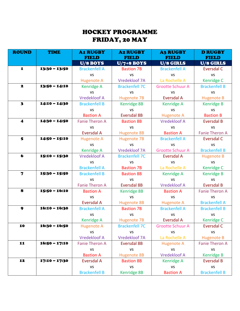## HOCKEY PROGRAMME FRIDAY, 20 MAY

| <b>ROUND</b>            | <b>TIME</b>     | <b>A1 RUGBY</b><br><b>FIELD</b> | <b>A2 RUGBY</b><br><b>FIELD</b> | <b>A3 RUGBY</b><br><b>FIELD</b> | <b>D RUGBY</b><br><b>FIELD</b> |
|-------------------------|-----------------|---------------------------------|---------------------------------|---------------------------------|--------------------------------|
|                         |                 | U/8 BOYS                        | $U/7+8$ BOYS                    | U/8 GIRLS                       | U/8 GIRLS                      |
| $\mathbf{I}$            | $13:30 - 13:50$ | <b>Brackenfell A</b>            | <b>Bastion 7B</b>               | <b>Brackenfell A</b>            | Eversdal C                     |
|                         |                 | <b>VS</b>                       | <b>VS</b>                       | <b>VS</b>                       | <b>VS</b>                      |
|                         |                 | <b>Hugenote A</b>               | Vredekloof 7A                   | La Rochelle A                   | Kenridge C                     |
| 2                       | $13:50 - 14:10$ | <b>Kenridge A</b>               | <b>Brackenfell 7C</b>           | <b>Grootte Schuur A</b>         | <b>Brackenfell B</b>           |
|                         |                 | <b>VS</b>                       | <b>VS</b>                       | <b>VS</b>                       | <b>VS</b>                      |
|                         |                 | <b>Vredekloof A</b>             | <b>Hugenote 7B</b>              | <b>Eversdal A</b>               | <b>Hugenote B</b>              |
| $\overline{\mathbf{3}}$ | $14:10 - 14:30$ | <b>Brackenfell B</b>            | Kenridge 8B                     | Kenridge A                      | <b>Kenridge B</b>              |
|                         |                 | <b>VS</b>                       | VS                              | <b>VS</b>                       | <b>VS</b>                      |
|                         |                 | <b>Bastion A</b>                | <b>Eversdal 8B</b>              | <b>Hugenote A</b>               | <b>Bastion B</b>               |
| $\blacktriangleleft$    | $14:30 - 14:50$ | <b>Fanie Theron A</b>           | <b>Bastion 8B</b>               | <b>Vredekloof A</b>             | <b>Eversdal B</b>              |
|                         |                 | <b>VS</b>                       | <b>VS</b>                       | <b>VS</b>                       | <b>VS</b>                      |
|                         |                 | <b>Eversdal A</b>               | <b>Hugenote 8B</b>              | <b>Bastion A</b>                | <b>Fanie Theron A</b>          |
| 5                       | $14:50 - 15:10$ | <b>Hugenote A</b>               | <b>Hugenote 7B</b>              | <b>Brackenfell A</b>            | <b>Eversdal C</b>              |
|                         |                 | <b>VS</b>                       | <b>VS</b>                       | <b>VS</b>                       | <b>VS</b>                      |
|                         |                 | <b>Kenridge A</b>               | Vredekloof 7A                   | <b>Grootte Schuur A</b>         | <b>Brackenfell B</b>           |
| $\bullet$               | 15:10 - 15:30   | <b>Vredekloof A</b>             | <b>Brackenfell 7C</b>           | <b>Eversdal A</b>               | <b>Hugenote B</b>              |
|                         |                 | <b>VS</b>                       | <b>VS</b>                       | <b>VS</b>                       | <b>VS</b>                      |
|                         |                 | <b>Brackenfell A</b>            | <b>Bastion 7B</b>               | La Rochelle A                   | Kenridge C                     |
| $\overline{\mathbf{z}}$ | 15:30 - 15:50   | <b>Brackenfell B</b>            | <b>Bastion 8B</b>               | Kenridge A                      | <b>Kenridge B</b>              |
|                         |                 | <b>VS</b>                       | <b>VS</b>                       | <b>VS</b>                       | <b>VS</b>                      |
|                         |                 | <b>Fanie Theron A</b>           | <b>Eversdal 8B</b>              | <b>Vredekloof A</b>             | <b>Eversdal B</b>              |
| 8                       | $15:50 - 16:10$ | <b>Bastion A</b>                | Kenridge 8B                     | <b>Bastion A</b>                | <b>Fanie Theron A</b>          |
|                         |                 | <b>VS</b>                       | <b>VS</b>                       | <b>VS</b>                       | <b>VS</b>                      |
|                         |                 | <b>Eversdal A</b>               | <b>Hugenote 8B</b>              | <b>Hugenote A</b>               | <b>Brackenfell A</b>           |
| 9                       | $16:10 - 16:30$ | <b>Brackenfell A</b>            | <b>Bastion 7B</b>               | <b>Brackenfell A</b>            | <b>Brackenfell B</b>           |
|                         |                 | <b>VS</b>                       | <b>VS</b>                       | <b>VS</b>                       | <b>VS</b>                      |
|                         |                 | Kenridge A                      | <b>Hugenote 7B</b>              | Eversdal A                      | Kenridge C                     |
| 10                      | 16:30 - 16:50   | <b>Hugenote A</b>               | <b>Brackenfell 7C</b>           | <b>Grootte Schuur A</b>         | Eversdal C                     |
|                         |                 | <b>VS</b>                       | <b>VS</b>                       | <b>VS</b>                       | <b>VS</b>                      |
|                         |                 | <b>Vredekloof A</b>             | Vredekloof 7A                   | La Rochelle A                   | <b>Hugenote B</b>              |
| 11                      | $16:50 - 17:10$ | <b>Fanie Theron A</b>           | <b>Eversdal 8B</b>              | <b>Hugenote A</b>               | <b>Fanie Theron A</b>          |
|                         |                 | <b>VS</b>                       | <b>VS</b>                       | <b>VS</b>                       | <b>VS</b>                      |
|                         |                 | <b>Bastion A</b>                | <b>Hugenote 8B</b>              | <b>Vredekloof A</b>             | <b>Kenridge B</b>              |
| 12                      | 17:10 - 17:30   | Eversdal A                      | <b>Bastion 8B</b>               | <b>Kenridge A</b>               | <b>Eversdal B</b>              |
|                         |                 | <b>VS</b>                       | <b>VS</b>                       | <b>VS</b>                       | <b>VS</b>                      |
|                         |                 | <b>Brackenfell B</b>            | Kenridge 8B                     | <b>Bastion A</b>                | <b>Brackenfell B</b>           |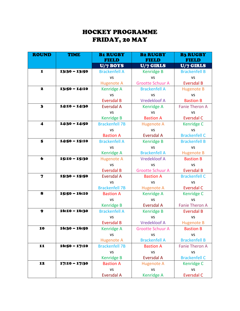### HOCKEY PROGRAMME FRIDAY, 20 MAY

| <b>ROUND</b><br><b>TIME</b> |                 | <b>B1 RUGBY</b><br><b>FIELD</b>    | <b>B2 RUGBY</b><br><b>FIELD</b> | <b>B3 RUGBY</b><br><b>FIELD</b> |  |
|-----------------------------|-----------------|------------------------------------|---------------------------------|---------------------------------|--|
|                             |                 |                                    | U/7 GIRLS<br>U/7 BOYS           |                                 |  |
| ${\bf 1}$                   | 13:30 - 13:50   | <b>Brackenfell A</b>               | <b>Kenridge B</b>               | <b>Brackenfell B</b>            |  |
|                             |                 | <b>VS</b>                          | <b>VS</b>                       | <b>VS</b>                       |  |
|                             |                 | <b>Hugenote A</b>                  | <b>Grootte Schuur A</b>         | <b>Eversdal B</b>               |  |
| 2                           | $13:50 - 14:10$ | <b>Brackenfell A</b><br>Kenridge A |                                 | <b>Hugenote B</b>               |  |
|                             |                 | <b>VS</b>                          | <b>VS</b>                       | <b>VS</b>                       |  |
|                             |                 | <b>Eversdal B</b>                  | <b>Vredekloof A</b>             | <b>Bastion B</b>                |  |
| $\mathbf{3}$                | 14:10 - 14:30   | <b>Eversdal A</b>                  | <b>Kenridge A</b>               | <b>Fanie Theron A</b>           |  |
|                             |                 | <b>VS</b>                          | <b>VS</b>                       | <b>VS</b>                       |  |
|                             |                 | <b>Kenridge B</b>                  | <b>Bastion A</b>                | <b>Eversdal C</b>               |  |
| $\blacktriangleleft$        | 14:30 - 14:50   | <b>Brackenfell 7B</b>              | <b>Hugenote A</b>               | Kenridge C                      |  |
|                             |                 | <b>VS</b>                          | <b>VS</b>                       | <b>VS</b>                       |  |
|                             |                 | <b>Bastion A</b>                   | <b>Eversdal A</b>               | <b>Brackenfell C</b>            |  |
| 5                           | 14:50 - 15:10   | <b>Brackenfell A</b>               | <b>Kenridge B</b>               | <b>Brackenfell B</b>            |  |
|                             |                 | <b>VS</b>                          | <b>VS</b>                       | <b>VS</b>                       |  |
|                             |                 | Kenridge A                         | <b>Brackenfell A</b>            | <b>Hugenote B</b>               |  |
| 6                           | 15:10 - 15:30   | <b>Hugenote A</b>                  | <b>Vredekloof A</b>             | <b>Bastion B</b>                |  |
|                             |                 | <b>VS</b>                          | <b>VS</b>                       | <b>VS</b>                       |  |
|                             |                 | <b>Eversdal B</b>                  | <b>Grootte Schuur A</b>         | <b>Eversdal B</b>               |  |
| $\overline{\mathbf{z}}$     | 15:30 - 15:50   | Eversdal A                         | <b>Bastion A</b>                | <b>Brackenfell C</b>            |  |
|                             |                 | <b>VS</b>                          | <b>VS</b>                       | <b>VS</b>                       |  |
|                             |                 | <b>Brackenfell 7B</b>              | <b>Hugenote A</b>               | <b>Eversdal C</b>               |  |
| 8                           | 15:50 - 16:10   | <b>Bastion A</b>                   | <b>Kenridge A</b>               | Kenridge C                      |  |
|                             |                 | <b>VS</b>                          | <b>VS</b>                       | <b>VS</b>                       |  |
|                             |                 | <b>Kenridge B</b>                  | Eversdal A                      | <b>Fanie Theron A</b>           |  |
| 9                           | 16:10 - 16:30   | <b>Brackenfell A</b>               | <b>Kenridge B</b>               | <b>Eversdal B</b>               |  |
|                             |                 | <b>VS</b>                          | <b>VS</b>                       | <b>VS</b>                       |  |
|                             |                 | <b>Eversdal B</b>                  | <b>Vredekloof A</b>             | <b>Hugenote B</b>               |  |
| 10                          | $16:30 - 16:50$ | Kenridge A                         | Grootte Schuur A                | <b>Bastion B</b>                |  |
|                             |                 | <b>VS</b>                          | <b>VS</b>                       | <b>VS</b>                       |  |
|                             |                 | <b>Hugenote A</b>                  | <b>Brackenfell A</b>            | <b>Brackenfell B</b>            |  |
| 11                          | $16:50 - 17:10$ | <b>Brackenfell 7B</b>              | <b>Bastion A</b>                | <b>Fanie Theron A</b>           |  |
|                             |                 | <b>VS</b>                          | <b>VS</b>                       | <b>VS</b>                       |  |
|                             |                 | <b>Kenridge B</b>                  | <b>Eversdal A</b>               | <b>Brackenfell C</b>            |  |
| 12                          | 17:10 - 17:30   | <b>Bastion A</b>                   | <b>Hugenote A</b>               | Kenridge C                      |  |
|                             |                 | VS                                 | <b>VS</b>                       | <b>VS</b>                       |  |
|                             |                 | Eversdal A                         | <b>Kenridge A</b>               | <b>Eversdal C</b>               |  |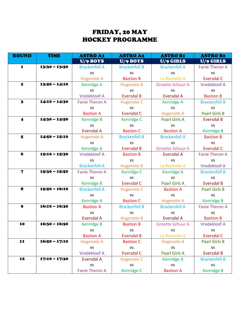### FRIDAY, 20 MAY HOCKEY PROGRAMME

| <b>ROUND</b>            | <b>TIME</b>     | <b>ASTRO A1</b>       | <b>ASTRO A2</b>      | <b>ASTRO B1</b>         | <b>ASTRO B2</b>       |
|-------------------------|-----------------|-----------------------|----------------------|-------------------------|-----------------------|
|                         |                 | U/9 BOYS              | U/9 BOYS             | U/9 GIRLS               | U/9 GIRLS             |
| 1                       | $13:30 - 13:50$ | <b>Brackenfell A</b>  | <b>Brackenfell B</b> | <b>Brackenfell A</b>    | <b>Fanie Theron A</b> |
|                         |                 | <b>VS</b>             | <b>VS</b>            | <b>VS</b>               | <b>VS</b>             |
|                         |                 | <b>Hugenote A</b>     | <b>Bastion B</b>     | La Rochelle A           | <b>Eversdal C</b>     |
| $\mathbf{z}$            | $13:50 - 14:10$ | <b>Kenridge A</b>     | <b>Hugenote B</b>    | <b>Grootte Schuur A</b> | <b>Vredekloof A</b>   |
|                         |                 | <b>VS</b>             | <b>VS</b>            | <b>VS</b>               | <b>VS</b>             |
|                         |                 | <b>Vredekloof A</b>   | <b>Eversdal B</b>    | Eversdal A              | <b>Bastion B</b>      |
| $\overline{\mathbf{3}}$ | $14:10 - 14:30$ | <b>Fanie Theron A</b> | <b>Hugenote C</b>    | Kenridge A              | <b>Brackenfell B</b>  |
|                         |                 | <b>VS</b>             | <b>VS</b>            | <b>VS</b>               | <b>VS</b>             |
|                         |                 | <b>Bastion A</b>      | <b>Eversdal C</b>    | <b>Hugenote A</b>       | <b>Paarl Girls B</b>  |
| $\blacktriangleleft$    | $14:30 - 14:50$ | <b>Kenridge B</b>     | Kenridge C           | <b>Paarl Girls A</b>    | <b>Eversdal B</b>     |
|                         |                 | <b>VS</b>             | <b>VS</b>            | <b>VS</b>               | <b>VS</b>             |
|                         |                 | <b>Eversdal A</b>     | <b>Bastion C</b>     | <b>Bastion A</b>        | <b>Kenridge B</b>     |
| 5                       | $14:50 - 15:10$ | <b>Hugenote A</b>     | <b>Brackenfell B</b> | <b>Brackenfell A</b>    | <b>Bastion B</b>      |
|                         |                 | <b>VS</b>             | <b>VS</b>            | <b>VS</b>               | <b>VS</b>             |
|                         |                 | <b>Kenridge A</b>     | <b>Eversdal B</b>    | <b>Grootte Schuur A</b> | <b>Eversdal C</b>     |
| 6                       | 15:10 - 15:30   | <b>Vredekloof A</b>   | <b>Bastion B</b>     | Eversdal A              | <b>Fanie Theron A</b> |
|                         |                 | <b>VS</b>             | <b>VS</b>            | <b>VS</b>               | <b>VS</b>             |
|                         |                 | <b>Brackenfell A</b>  | <b>Hugenote B</b>    | La Rochelle A           | <b>Vredekloof A</b>   |
| $\overline{\mathbf{z}}$ | 15:30 - 15:50   | <b>Fanie Theron A</b> | Kenridge C           | <b>Kenridge A</b>       | <b>Brackenfell B</b>  |
|                         |                 | <b>VS</b>             | <b>VS</b>            | <b>VS</b>               | <b>VS</b>             |
|                         |                 | <b>Kenridge B</b>     | <b>Eversdal C</b>    | <b>Paarl Girls A</b>    | <b>Eversdal B</b>     |
| 8                       | 15:50 - 16:10   | <b>Brackenfell A</b>  | <b>Hugenote C</b>    | <b>Bastion A</b>        | <b>Paarl Girls B</b>  |
|                         |                 | <b>VS</b>             | <b>VS</b>            | <b>VS</b>               | <b>VS</b>             |
|                         |                 | Kenridge A            | <b>Bastion C</b>     | <b>Hugenote A</b>       | <b>Kenridge B</b>     |
| 9                       | $16:10 - 16:30$ | <b>Bastion A</b>      | <b>Brackenfell B</b> | <b>Brackenfell A</b>    | <b>Fanie Theron A</b> |
|                         |                 | <b>VS</b>             | <b>VS</b>            | <b>VS</b>               | <b>VS</b>             |
|                         |                 | Eversdal A            | <b>Hugenote B</b>    | <b>Eversdal A</b>       | <b>Bastion B</b>      |
| 10                      | 16:30 - 16:50   | <b>Kenridge B</b>     | <b>Bastion B</b>     | <b>Grootte Schuur A</b> | <b>Vredekloof A</b>   |
|                         |                 | <b>VS</b>             | <b>VS</b>            | <b>VS</b>               | <b>VS</b>             |
|                         |                 | <b>Bastion A</b>      | <b>Eversdal B</b>    | La Rochelle A           | <b>Eversdal C</b>     |
| 11                      | $16:50 - 17:10$ | <b>Hugenote A</b>     | <b>Bastion C</b>     | <b>Hugenote A</b>       | <b>Paarl Girls B</b>  |
|                         |                 | <b>VS</b>             | <b>VS</b>            | <b>VS</b>               | <b>VS</b>             |
|                         |                 | <b>Vredekloof A</b>   | <b>Eversdal C</b>    | <b>Paarl Girls A</b>    | <b>Eversdal B</b>     |
| 12                      | 17:10 - 17:30   | <b>Eversdal A</b>     | <b>Hugenote C</b>    | Kenridge A              | <b>Brackenfell B</b>  |
|                         |                 | <b>VS</b>             | <b>VS</b>            | <b>VS</b>               | <b>VS</b>             |
|                         |                 | <b>Fanie Theron A</b> | Kenridge C           | <b>Bastion A</b>        | <b>Kenridge B</b>     |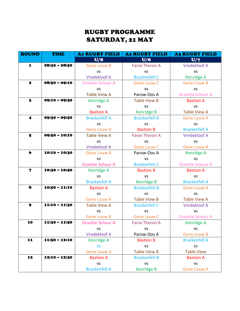### RUGBY PROGRAMME SATURDAY, 21 MAY

| <b>ROUND</b><br><b>TIME</b> |                 | <b>A1 RUGBY FIELD</b>   | <b>A2 RUGBY FIELD</b> | <b>A3 RUGBY FIELD</b>   |  |
|-----------------------------|-----------------|-------------------------|-----------------------|-------------------------|--|
|                             |                 | U/8                     | U/8                   | U/7                     |  |
| $\mathbf{I}$                | $08:30 - 08:50$ | <b>Gene Louw B</b>      | <b>Fanie Theron A</b> | <b>Vredekloof A</b>     |  |
|                             |                 | <b>VS</b>               | <b>VS</b>             | <b>VS</b>               |  |
|                             |                 | <b>Vredekloof A</b>     | <b>Brackenfell C</b>  | Kenridge A              |  |
| 2                           | $08:50 - 09:10$ | <b>Grootte Schuur A</b> | <b>Gene Louw C</b>    | <b>Gene Louw B</b>      |  |
|                             |                 | <b>VS</b>               | <b>VS</b>             | <b>VS</b>               |  |
|                             |                 | <b>Table View A</b>     | Parow-Oos A           | <b>Grootte Schuur A</b> |  |
| $\mathbf{3}$                | 09:10 - 09:30   | <b>Kenridge A</b>       | <b>Table View B</b>   | <b>Bastion A</b>        |  |
|                             |                 | <b>VS</b>               | <b>VS</b>             | <b>VS</b>               |  |
|                             |                 | <b>Bastion A</b>        | <b>Kenridge B</b>     | <b>Table View A</b>     |  |
| $\boldsymbol{4}$            | 09:30 - 09:50   | <b>Brackenfell A</b>    | <b>Brackenfell B</b>  | <b>Gene Louw A</b>      |  |
|                             |                 | <b>VS</b>               | <b>VS</b>             | <b>VS</b>               |  |
|                             |                 | <b>Gene Louw A</b>      | <b>Bastion B</b>      | <b>Brackenfell A</b>    |  |
| 5                           | 09:50 - 10:10   | <b>Table View A</b>     | <b>Fanie Theron A</b> | <b>Vredekloof A</b>     |  |
|                             |                 | <b>VS</b>               | <b>VS</b>             | VS                      |  |
|                             |                 | <b>Vredekloof A</b>     | <b>Gene Louw C</b>    | <b>Gene Louw B</b>      |  |
| $\bullet$                   | $10:10 - 10:30$ | <b>Gene Louw B</b>      | Parow-Oos A           | Kenridge A              |  |
|                             |                 | <b>VS</b>               | <b>VS</b>             | <b>VS</b>               |  |
|                             |                 | <b>Grootte Schuur A</b> | <b>Brackenfell C</b>  | <b>Grootte Schuur A</b> |  |
| $\mathbf 7$                 | 10:30 - 10:50   | <b>Kenridge A</b>       | <b>Bastion B</b>      | <b>Bastion A</b>        |  |
|                             |                 | <b>VS</b>               | <b>VS</b>             | <b>VS</b>               |  |
|                             |                 | <b>Brackenfell A</b>    | <b>Kenridge B</b>     | <b>Brackenfell A</b>    |  |
| 8                           | $10:50 - 11:10$ | <b>Bastion A</b>        | <b>Brackenfell B</b>  | <b>Gene Louw A</b>      |  |
|                             |                 | VS                      | <b>VS</b>             | <b>VS</b>               |  |
|                             |                 | <b>Gene Louw A</b>      | <b>Table View B</b>   | <b>Table View A</b>     |  |
| 9                           | 11:10 - 11:30   | <b>Table View A</b>     | <b>Brackenfell C</b>  | <b>Vredekloof A</b>     |  |
|                             |                 | <b>VS</b>               | <b>VS</b>             | <b>VS</b>               |  |
|                             |                 | <b>Gene Louw B</b>      | <b>Gene Louw C</b>    | <b>Grootte Schuur A</b> |  |
| 10                          | 11:30 - 11:50   | <b>Grootte Schuur A</b> | <b>Fanie Theron A</b> | <b>Kenridge A</b>       |  |
|                             |                 | VS.                     | VS.                   | VS.                     |  |
|                             |                 | <b>Vredekloof A</b>     | Parow-Oos A           | <b>Gene Louw B</b>      |  |
| 11                          | $11:50 - 12:10$ | Kenridge A              | <b>Bastion B</b>      | <b>Brackenfell A</b>    |  |
|                             |                 | <b>VS</b>               | <b>VS</b>             | <b>VS</b>               |  |
|                             |                 | <b>Gene Louw A</b>      | <b>Table View B</b>   | <b>Table View</b>       |  |
| 12                          | 12:10 - 12:30   | <b>Bastion A</b>        | <b>Brackenfell B</b>  | <b>Bastion A</b>        |  |
|                             |                 | <b>VS</b>               | <b>VS</b>             | <b>VS</b>               |  |
|                             |                 | <b>Brackenfell A</b>    | <b>Kenridge B</b>     | <b>Gene Louw A</b>      |  |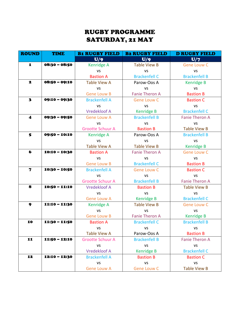### RUGBY PROGRAMME SATURDAY, 21 MAY

| <b>ROUND</b>            | <b>TIME</b>     | <b>B1 RUGBY FIELD</b>   | <b>B2 RUGBY FIELD</b> | <b>D RUGBY FIELD</b>  |
|-------------------------|-----------------|-------------------------|-----------------------|-----------------------|
|                         |                 | U/9                     | U/9                   | U/7                   |
| $\mathbf{I}$            | $08:30 - 08:50$ | <b>Kenridge A</b>       | <b>Table View B</b>   | <b>Gene Louw C</b>    |
|                         |                 | <b>VS</b>               | <b>VS</b>             | <b>VS</b>             |
|                         |                 | <b>Bastion A</b>        | <b>Brackenfell C</b>  | <b>Brackenfell B</b>  |
| 2                       | $08:50 - 09:10$ | <b>Table View A</b>     | Parow-Oos A           | Kenridge B            |
|                         |                 | <b>VS</b>               | <b>VS</b>             | <b>VS</b>             |
|                         |                 | <b>Gene Louw B</b>      | <b>Fanie Theron A</b> | <b>Bastion B</b>      |
| $\overline{\mathbf{3}}$ | 09:10 - 09:30   | <b>Brackenfell A</b>    | <b>Gene Louw C</b>    | <b>Bastion C</b>      |
|                         |                 | <b>VS</b>               | <b>VS</b>             | <b>VS</b>             |
|                         |                 | <b>Vredekloof A</b>     | <b>Kenridge B</b>     | <b>Brackenfell C</b>  |
| $\boldsymbol{4}$        | 09:30 - 09:50   | <b>Gene Louw A</b>      | <b>Brackenfell B</b>  | <b>Fanie Theron A</b> |
|                         |                 | <b>VS</b>               | <b>VS</b>             | <b>VS</b>             |
|                         |                 | <b>Grootte Schuur A</b> | <b>Bastion B</b>      | <b>Table View B</b>   |
| 5                       | 09:50 - 10:10   | <b>Kenridge A</b>       | Parow-Oos A           | <b>Brackenfell B</b>  |
|                         |                 | <b>VS</b>               | <b>VS</b>             | VS                    |
|                         |                 | <b>Table View A</b>     | <b>Table View B</b>   | <b>Kenridge B</b>     |
| $\bullet$               | $10:10 - 10:30$ | <b>Bastion A</b>        | <b>Fanie Theron A</b> | <b>Gene Louw C</b>    |
|                         |                 | <b>VS</b>               | <b>VS</b>             | VS                    |
|                         |                 | <b>Gene Louw B</b>      | <b>Brackenfell C</b>  | <b>Bastion B</b>      |
| $\mathbf 7$             | $10:30 - 10:50$ | <b>Brackenfell A</b>    | <b>Gene Louw C</b>    | <b>Bastion C</b>      |
|                         |                 | <b>VS</b>               | <b>VS</b>             | <b>VS</b>             |
|                         |                 | <b>Grootte Schuur A</b> | <b>Brackenfell B</b>  | <b>Fanie Theron A</b> |
| 8                       | $10:50 - 11:10$ | <b>Vredekloof A</b>     | <b>Bastion B</b>      | <b>Table View B</b>   |
|                         |                 | VS                      | <b>VS</b>             | <b>VS</b>             |
|                         |                 | <b>Gene Louw A</b>      | <b>Kenridge B</b>     | <b>Brackenfell C</b>  |
| 9                       | 11:10 - 11:30   | <b>Kenridge A</b>       | <b>Table View B</b>   | <b>Gene Louw C</b>    |
|                         |                 | <b>VS</b>               | <b>VS</b>             | <b>VS</b>             |
|                         |                 | <b>Gene Louw B</b>      | <b>Fanie Theron A</b> | Kenridge B            |
| 10                      | 11:30 - 11:50   | <b>Bastion A</b>        | <b>Brackenfell C</b>  | <b>Brackenfell B</b>  |
|                         |                 | VS.                     | VS.                   | VS.                   |
|                         |                 | <b>Table View A</b>     | Parow-Oos A           | <b>Bastion B</b>      |
| 11                      | $11:50 - 12:10$ | <b>Grootte Schuur A</b> | <b>Brackenfell B</b>  | <b>Fanie Theron A</b> |
|                         |                 | <b>VS</b>               | <b>VS</b>             | <b>VS</b>             |
|                         |                 | <b>Vredekloof A</b>     | <b>Kenridge B</b>     | <b>Brackenfell C</b>  |
| 12                      | 12:10 - 12:30   | <b>Brackenfell A</b>    | <b>Bastion B</b>      | <b>Bastion C</b>      |
|                         |                 | <b>VS</b>               | <b>VS</b>             | <b>VS</b>             |
|                         |                 | <b>Gene Louw A</b>      | <b>Gene Louw C</b>    | <b>Table View B</b>   |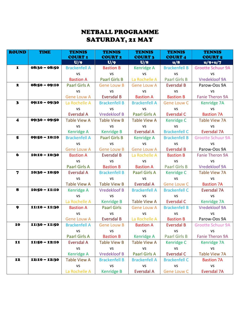### NETBALL PROGRAMME SATURDAY, 21 MAY

| <b>ROUND</b>            | <b>TIME</b>     | <b>TENNIS</b><br><b>COURT 1</b> | <b>TENNIS</b><br><b>COURT 2</b> | <b>TENNIS</b><br><b>COURT 3</b> | <b>TENNIS</b><br><b>COURT 4</b> | <b>TENNIS</b><br><b>COURT 5</b> |
|-------------------------|-----------------|---------------------------------|---------------------------------|---------------------------------|---------------------------------|---------------------------------|
|                         |                 | U/9                             | U/9                             | U/8                             | u/8                             | $u/9+u/7$                       |
| $\mathbf I$             | $08:30 - 08:50$ | <b>Brackenfell A</b>            | <b>Bastion B</b>                | Kenridge A                      | <b>Brackenfell B</b>            | <b>Grootte Schuur 9A</b>        |
|                         |                 | <b>VS</b>                       | <b>VS</b>                       | <b>VS</b>                       | <b>VS</b>                       | <b>VS</b>                       |
|                         |                 | <b>Bastion A</b>                | <b>Paarl Girls B</b>            | La Rochelle A                   | <b>Paarl Girls B</b>            | Vredekloof 9A                   |
| $\mathbf{z}$            | $08:50 - 09:10$ | Paarl Girls A                   | <b>Gene Louw B</b>              | <b>Gene Louw A</b>              | <b>Eversdal B</b>               | Parow-Oos 9A                    |
|                         |                 | <b>VS</b>                       | <b>VS</b>                       | <b>VS</b>                       | <b>VS</b>                       | <b>VS</b>                       |
|                         |                 | <b>Gene Louw A</b>              | <b>Eversdal B</b>               | <b>Bastion A</b>                | <b>Bastion B</b>                | <b>Fanie Theron 9A</b>          |
| $\overline{\mathbf{3}}$ | $09:10 - 09:30$ | La Rochelle A                   | <b>Brackenfell B</b>            | <b>Brackenfell A</b>            | <b>Gene Louw C</b>              | Kenridge 7A                     |
|                         |                 | <b>VS</b>                       | <b>VS</b>                       | <b>VS</b>                       | <b>VS</b>                       | <b>VS</b>                       |
|                         |                 | <b>Eversdal A</b>               | <b>Vredekloof B</b>             | Paarl Girls A                   | Eversdal C                      | <b>Bastion 7A</b>               |
| $\boldsymbol{4}$        | 09:30 - 09:50   | <b>Table View A</b>             | <b>Table View B</b>             | <b>Table View A</b>             | <b>Kenridge C</b>               | <b>Table View 7A</b>            |
|                         |                 | <b>VS</b>                       | VS                              | <b>VS</b>                       | <b>VS</b>                       | <b>VS</b>                       |
|                         |                 | Kenridge A                      | <b>Kenridge B</b>               | Eversdal A                      | <b>Brackenfell C</b>            | Eversdal 7A                     |
| 5                       | 09:50 - 10:10   | <b>Brackenfell A</b>            | <b>Paarl Girls B</b>            | Kenridge A                      | <b>Brackenfell B</b>            | <b>Grootte Schuur 9A</b>        |
|                         |                 | <b>VS</b>                       | <b>VS</b>                       | <b>VS</b>                       | <b>VS</b>                       | <b>VS</b>                       |
|                         |                 | <b>Gene Louw A</b>              | <b>Gene Louw B</b>              | <b>Gene Louw A</b>              | <b>Eversdal B</b>               | Parow-Oos 9A                    |
| $\bullet$               | $10:10 - 10:30$ | <b>Bastion A</b>                | <b>Eversdal B</b>               | La Rochelle A                   | <b>Bastion B</b>                | <b>Fanie Theron 9A</b>          |
|                         |                 | <b>VS</b>                       | <b>VS</b>                       | <b>VS</b>                       | <b>VS</b>                       | <b>VS</b>                       |
|                         |                 | Paarl Girls A                   | <b>Bastion B</b>                | <b>Bastion A</b>                | <b>Paarl Girls B</b>            | <b>Vredekloof 9A</b>            |
| $\overline{\mathbf{z}}$ | $10:30 - 10:50$ | Eversdal A                      | <b>Brackenfell B</b>            | Paarl Girls A                   | Kenridge C                      | <b>Table View 7A</b>            |
|                         |                 | <b>VS</b>                       | <b>VS</b>                       | <b>VS</b>                       | <b>VS</b>                       | <b>VS</b>                       |
|                         |                 | <b>Table View A</b>             | <b>Table View B</b>             | <b>Eversdal A</b>               | <b>Gene Louw C</b>              | <b>Bastion 7A</b>               |
| 8                       | $10:50 - 11:10$ | Kenridge A                      | <b>Vredekloof B</b>             | <b>Brackenfell A</b>            | <b>Brackenfell C</b>            | Eversdal 7A                     |
|                         |                 | <b>VS</b>                       | <b>VS</b>                       | <b>VS</b>                       | <b>VS</b>                       | <b>VS</b>                       |
|                         |                 | La Rochelle A                   | <b>Kenridge B</b>               | Table View A                    | Eversdal C                      | Kenridge 7A                     |
| 9                       | 11:10 - 11:30   | <b>Bastion A</b>                | <b>Paarl Girls</b>              | <b>Gene Louw A</b>              | <b>Brackenfell B</b>            | Vredekloof 9A                   |
|                         |                 | <b>VS</b>                       | <b>VS</b>                       | VS                              | <b>VS</b>                       | <b>VS</b>                       |
|                         |                 | <b>Gene Louw A</b>              | <b>Eversdal B</b>               | La Rochelle A                   | <b>Bastion B</b>                | Parow-Oos 9A                    |
| 10                      | 11:30 - 11:50   | <b>Brackenfell A</b>            | <b>Gene Louw B</b>              | <b>Bastion A</b>                | <b>Eversdal B</b>               | <b>Grootte Schuur 9A</b>        |
|                         |                 | <b>VS</b>                       | <b>VS</b>                       | <b>VS</b>                       | <b>VS</b>                       | <b>VS</b>                       |
|                         |                 | Paarl Girls A                   | <b>Bastion B</b>                | <b>Kenridge A</b>               | <b>Paarl Girls B</b>            | <b>Fanie Theron 9A</b>          |
| 11                      | $11:50 - 12:10$ | Eversdal A                      | <b>Table View B</b>             | <b>Table View A</b>             | Kenridge C                      | Kenridge 7A                     |
|                         |                 | <b>VS</b>                       | <b>VS</b>                       | <b>VS</b>                       | <b>VS</b>                       | <b>VS</b>                       |
|                         |                 | <b>Kenridge A</b>               | <b>Vredekloof B</b>             | Paarl Girls A                   | <b>Eversdal C</b>               | <b>Table View 7A</b>            |
| 12                      | 12:10 - 12:30   | <b>Table View A</b>             | <b>Brackenfell B</b>            | <b>Brackenfell A</b>            | <b>Brackenfell C</b>            | <b>Bastion 7A</b>               |
|                         |                 | <b>VS</b>                       | <b>VS</b>                       | <b>VS</b>                       | <b>VS</b>                       | <b>VS</b>                       |
|                         |                 | La Rochelle A                   | <b>Kenridge B</b>               | <b>Eversdal A</b>               | Gene Louw C                     | Eversdal 7A                     |